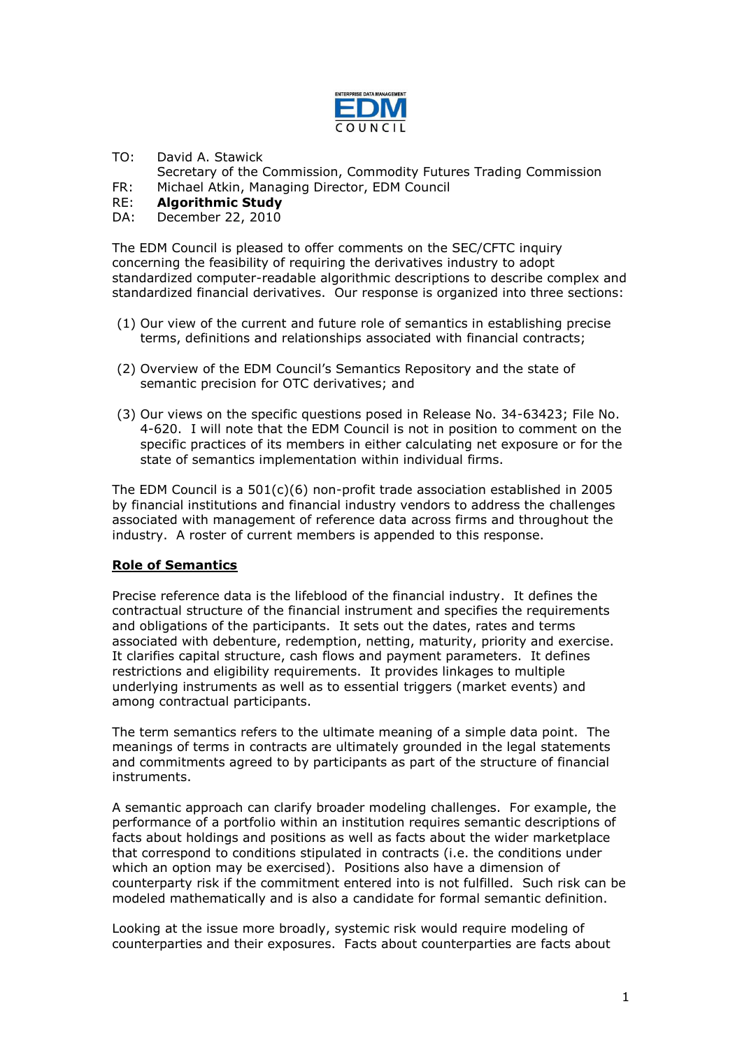

- TO: David A. Stawick
- Secretary of the Commission, Commodity Futures Trading Commission
- FR: Michael Atkin, Managing Director, EDM Council
- RE: **Algorithmic Study**
- DA: December 22, 2010

The EDM Council is pleased to offer comments on the SEC/CFTC inquiry concerning the feasibility of requiring the derivatives industry to adopt standardized computer-readable algorithmic descriptions to describe complex and standardized financial derivatives. Our response is organized into three sections:

- (1) Our view of the current and future role of semantics in establishing precise terms, definitions and relationships associated with financial contracts;
- (2) Overview of the EDM Council"s Semantics Repository and the state of semantic precision for OTC derivatives; and
- (3) Our views on the specific questions posed in Release No. 34-63423; File No. 4-620. I will note that the EDM Council is not in position to comment on the specific practices of its members in either calculating net exposure or for the state of semantics implementation within individual firms.

The EDM Council is a 501(c)(6) non-profit trade association established in 2005 by financial institutions and financial industry vendors to address the challenges associated with management of reference data across firms and throughout the industry. A roster of current members is appended to this response.

# **Role of Semantics**

Precise reference data is the lifeblood of the financial industry. It defines the contractual structure of the financial instrument and specifies the requirements and obligations of the participants. It sets out the dates, rates and terms associated with debenture, redemption, netting, maturity, priority and exercise. It clarifies capital structure, cash flows and payment parameters. It defines restrictions and eligibility requirements. It provides linkages to multiple underlying instruments as well as to essential triggers (market events) and among contractual participants.

The term semantics refers to the ultimate meaning of a simple data point. The meanings of terms in contracts are ultimately grounded in the legal statements and commitments agreed to by participants as part of the structure of financial instruments.

A semantic approach can clarify broader modeling challenges. For example, the performance of a portfolio within an institution requires semantic descriptions of facts about holdings and positions as well as facts about the wider marketplace that correspond to conditions stipulated in contracts (i.e. the conditions under which an option may be exercised). Positions also have a dimension of counterparty risk if the commitment entered into is not fulfilled. Such risk can be modeled mathematically and is also a candidate for formal semantic definition.

Looking at the issue more broadly, systemic risk would require modeling of counterparties and their exposures. Facts about counterparties are facts about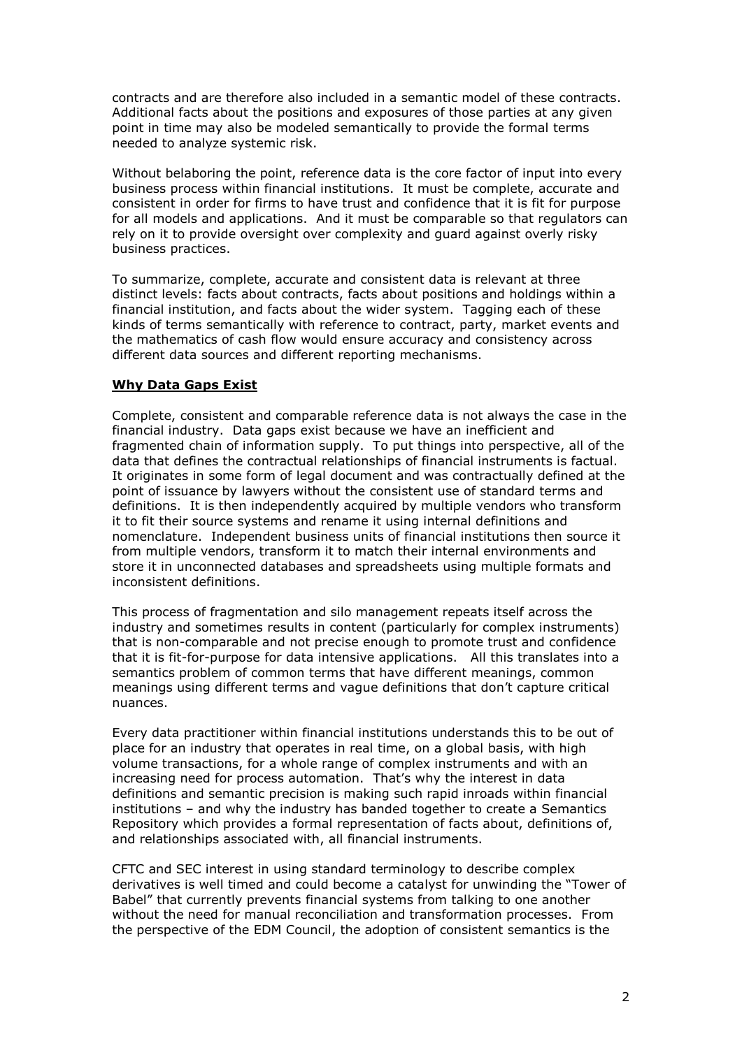contracts and are therefore also included in a semantic model of these contracts. Additional facts about the positions and exposures of those parties at any given point in time may also be modeled semantically to provide the formal terms needed to analyze systemic risk.

Without belaboring the point, reference data is the core factor of input into every business process within financial institutions. It must be complete, accurate and consistent in order for firms to have trust and confidence that it is fit for purpose for all models and applications. And it must be comparable so that regulators can rely on it to provide oversight over complexity and guard against overly risky business practices.

To summarize, complete, accurate and consistent data is relevant at three distinct levels: facts about contracts, facts about positions and holdings within a financial institution, and facts about the wider system. Tagging each of these kinds of terms semantically with reference to contract, party, market events and the mathematics of cash flow would ensure accuracy and consistency across different data sources and different reporting mechanisms.

#### **Why Data Gaps Exist**

Complete, consistent and comparable reference data is not always the case in the financial industry. Data gaps exist because we have an inefficient and fragmented chain of information supply. To put things into perspective, all of the data that defines the contractual relationships of financial instruments is factual. It originates in some form of legal document and was contractually defined at the point of issuance by lawyers without the consistent use of standard terms and definitions. It is then independently acquired by multiple vendors who transform it to fit their source systems and rename it using internal definitions and nomenclature. Independent business units of financial institutions then source it from multiple vendors, transform it to match their internal environments and store it in unconnected databases and spreadsheets using multiple formats and inconsistent definitions.

This process of fragmentation and silo management repeats itself across the industry and sometimes results in content (particularly for complex instruments) that is non-comparable and not precise enough to promote trust and confidence that it is fit-for-purpose for data intensive applications. All this translates into a semantics problem of common terms that have different meanings, common meanings using different terms and vague definitions that don"t capture critical nuances.

Every data practitioner within financial institutions understands this to be out of place for an industry that operates in real time, on a global basis, with high volume transactions, for a whole range of complex instruments and with an increasing need for process automation. That"s why the interest in data definitions and semantic precision is making such rapid inroads within financial institutions – and why the industry has banded together to create a Semantics Repository which provides a formal representation of facts about, definitions of, and relationships associated with, all financial instruments.

CFTC and SEC interest in using standard terminology to describe complex derivatives is well timed and could become a catalyst for unwinding the "Tower of Babel" that currently prevents financial systems from talking to one another without the need for manual reconciliation and transformation processes. From the perspective of the EDM Council, the adoption of consistent semantics is the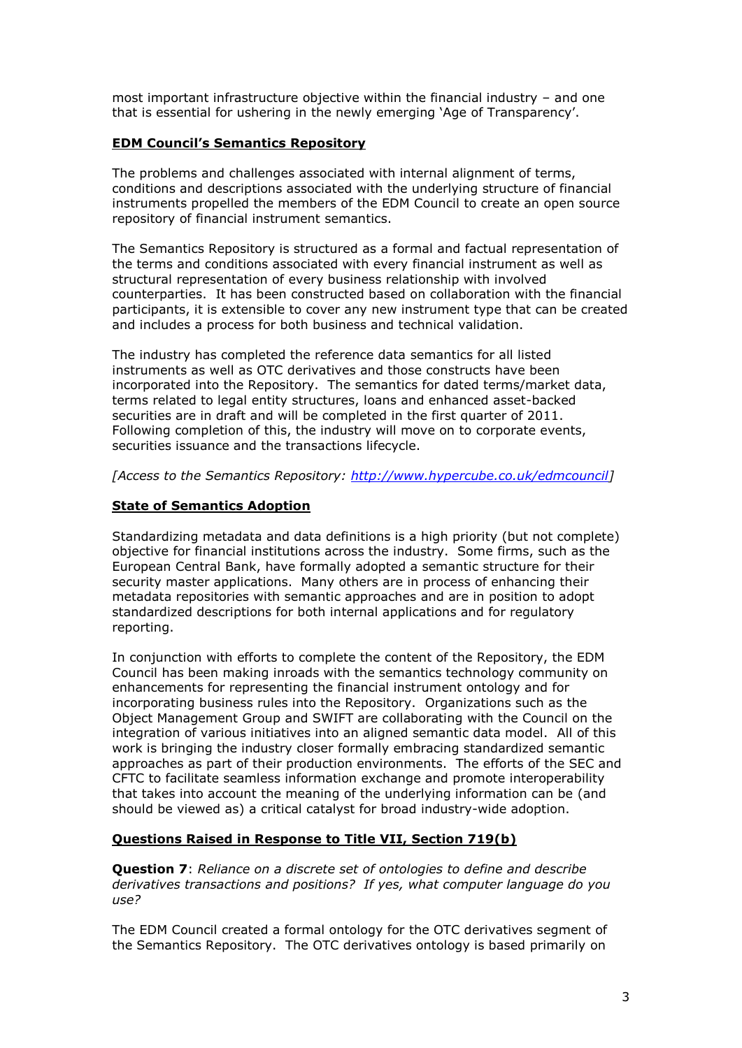most important infrastructure objective within the financial industry – and one that is essential for ushering in the newly emerging "Age of Transparency".

### **EDM Council's Semantics Repository**

The problems and challenges associated with internal alignment of terms, conditions and descriptions associated with the underlying structure of financial instruments propelled the members of the EDM Council to create an open source repository of financial instrument semantics.

The Semantics Repository is structured as a formal and factual representation of the terms and conditions associated with every financial instrument as well as structural representation of every business relationship with involved counterparties. It has been constructed based on collaboration with the financial participants, it is extensible to cover any new instrument type that can be created and includes a process for both business and technical validation.

The industry has completed the reference data semantics for all listed instruments as well as OTC derivatives and those constructs have been incorporated into the Repository. The semantics for dated terms/market data, terms related to legal entity structures, loans and enhanced asset-backed securities are in draft and will be completed in the first quarter of 2011. Following completion of this, the industry will move on to corporate events, securities issuance and the transactions lifecycle.

*[Access to the Semantics Repository: [http://www.hypercube.co.uk/edmcouncil\]](http://www.hypercube.co.uk/edmcouncil)* 

# **State of Semantics Adoption**

Standardizing metadata and data definitions is a high priority (but not complete) objective for financial institutions across the industry. Some firms, such as the European Central Bank, have formally adopted a semantic structure for their security master applications. Many others are in process of enhancing their metadata repositories with semantic approaches and are in position to adopt standardized descriptions for both internal applications and for regulatory reporting.

In conjunction with efforts to complete the content of the Repository, the EDM Council has been making inroads with the semantics technology community on enhancements for representing the financial instrument ontology and for incorporating business rules into the Repository. Organizations such as the Object Management Group and SWIFT are collaborating with the Council on the integration of various initiatives into an aligned semantic data model. All of this work is bringing the industry closer formally embracing standardized semantic approaches as part of their production environments. The efforts of the SEC and CFTC to facilitate seamless information exchange and promote interoperability that takes into account the meaning of the underlying information can be (and should be viewed as) a critical catalyst for broad industry-wide adoption.

# **Questions Raised in Response to Title VII, Section 719(b)**

**Question 7**: *Reliance on a discrete set of ontologies to define and describe derivatives transactions and positions? If yes, what computer language do you use?*

The EDM Council created a formal ontology for the OTC derivatives segment of the Semantics Repository. The OTC derivatives ontology is based primarily on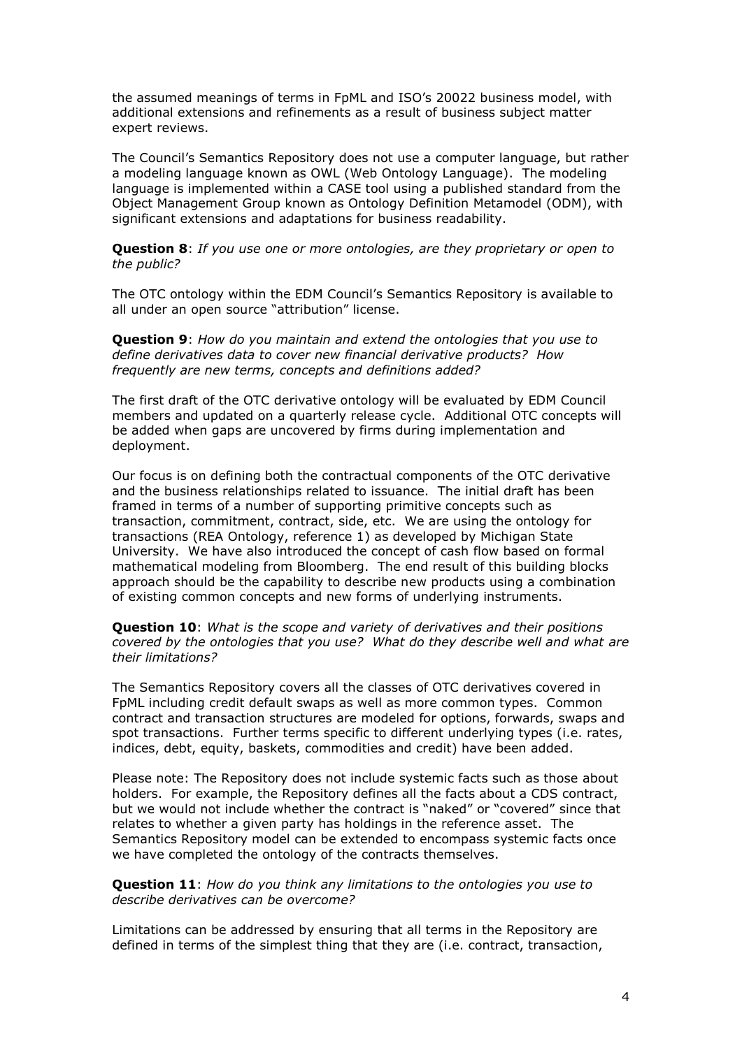the assumed meanings of terms in FpML and ISO"s 20022 business model, with additional extensions and refinements as a result of business subject matter expert reviews.

The Council"s Semantics Repository does not use a computer language, but rather a modeling language known as OWL (Web Ontology Language). The modeling language is implemented within a CASE tool using a published standard from the Object Management Group known as Ontology Definition Metamodel (ODM), with significant extensions and adaptations for business readability.

**Question 8**: *If you use one or more ontologies, are they proprietary or open to the public?*

The OTC ontology within the EDM Council"s Semantics Repository is available to all under an open source "attribution" license.

**Question 9**: *How do you maintain and extend the ontologies that you use to define derivatives data to cover new financial derivative products? How frequently are new terms, concepts and definitions added?*

The first draft of the OTC derivative ontology will be evaluated by EDM Council members and updated on a quarterly release cycle. Additional OTC concepts will be added when gaps are uncovered by firms during implementation and deployment.

Our focus is on defining both the contractual components of the OTC derivative and the business relationships related to issuance. The initial draft has been framed in terms of a number of supporting primitive concepts such as transaction, commitment, contract, side, etc. We are using the ontology for transactions (REA Ontology, reference 1) as developed by Michigan State University. We have also introduced the concept of cash flow based on formal mathematical modeling from Bloomberg. The end result of this building blocks approach should be the capability to describe new products using a combination of existing common concepts and new forms of underlying instruments.

**Question 10**: *What is the scope and variety of derivatives and their positions covered by the ontologies that you use? What do they describe well and what are their limitations?*

The Semantics Repository covers all the classes of OTC derivatives covered in FpML including credit default swaps as well as more common types. Common contract and transaction structures are modeled for options, forwards, swaps and spot transactions. Further terms specific to different underlying types (i.e. rates, indices, debt, equity, baskets, commodities and credit) have been added.

Please note: The Repository does not include systemic facts such as those about holders. For example, the Repository defines all the facts about a CDS contract, but we would not include whether the contract is "naked" or "covered" since that relates to whether a given party has holdings in the reference asset. The Semantics Repository model can be extended to encompass systemic facts once we have completed the ontology of the contracts themselves.

**Question 11**: *How do you think any limitations to the ontologies you use to describe derivatives can be overcome?*

Limitations can be addressed by ensuring that all terms in the Repository are defined in terms of the simplest thing that they are (i.e. contract, transaction,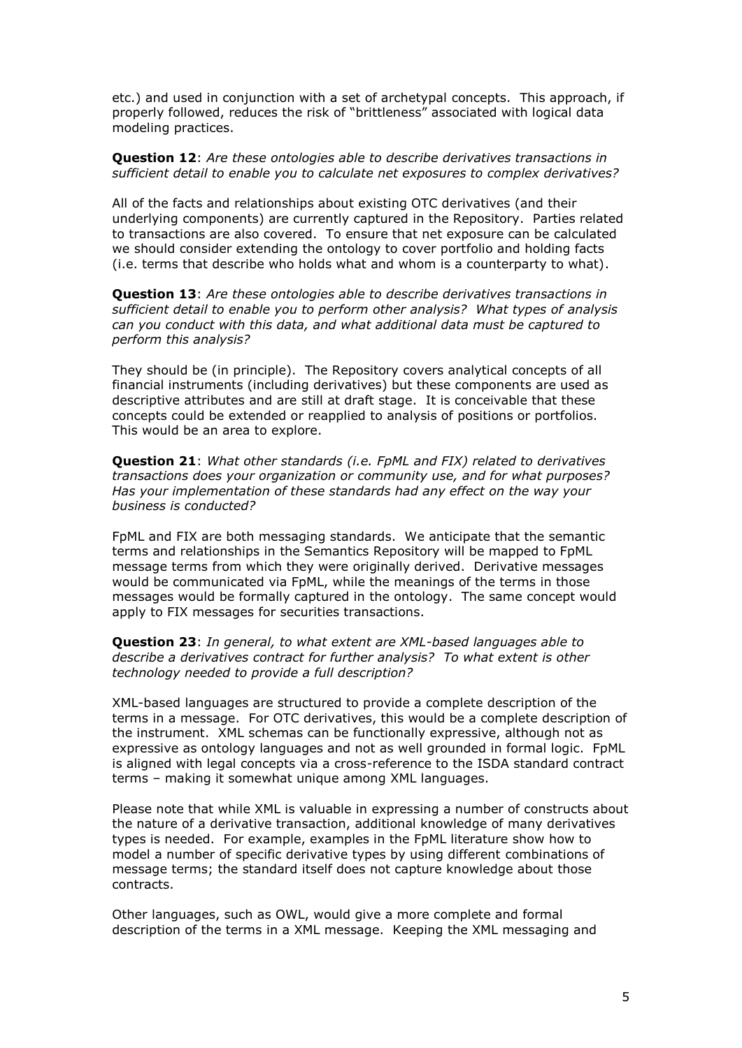etc.) and used in conjunction with a set of archetypal concepts. This approach, if properly followed, reduces the risk of "brittleness" associated with logical data modeling practices.

**Question 12**: *Are these ontologies able to describe derivatives transactions in sufficient detail to enable you to calculate net exposures to complex derivatives?*

All of the facts and relationships about existing OTC derivatives (and their underlying components) are currently captured in the Repository. Parties related to transactions are also covered. To ensure that net exposure can be calculated we should consider extending the ontology to cover portfolio and holding facts (i.e. terms that describe who holds what and whom is a counterparty to what).

**Question 13**: *Are these ontologies able to describe derivatives transactions in sufficient detail to enable you to perform other analysis? What types of analysis can you conduct with this data, and what additional data must be captured to perform this analysis?*

They should be (in principle). The Repository covers analytical concepts of all financial instruments (including derivatives) but these components are used as descriptive attributes and are still at draft stage. It is conceivable that these concepts could be extended or reapplied to analysis of positions or portfolios. This would be an area to explore.

**Question 21**: *What other standards (i.e. FpML and FIX) related to derivatives transactions does your organization or community use, and for what purposes? Has your implementation of these standards had any effect on the way your business is conducted?*

FpML and FIX are both messaging standards. We anticipate that the semantic terms and relationships in the Semantics Repository will be mapped to FpML message terms from which they were originally derived. Derivative messages would be communicated via FpML, while the meanings of the terms in those messages would be formally captured in the ontology. The same concept would apply to FIX messages for securities transactions.

**Question 23**: *In general, to what extent are XML-based languages able to describe a derivatives contract for further analysis? To what extent is other technology needed to provide a full description?*

XML-based languages are structured to provide a complete description of the terms in a message. For OTC derivatives, this would be a complete description of the instrument. XML schemas can be functionally expressive, although not as expressive as ontology languages and not as well grounded in formal logic. FpML is aligned with legal concepts via a cross-reference to the ISDA standard contract terms – making it somewhat unique among XML languages.

Please note that while XML is valuable in expressing a number of constructs about the nature of a derivative transaction, additional knowledge of many derivatives types is needed. For example, examples in the FpML literature show how to model a number of specific derivative types by using different combinations of message terms; the standard itself does not capture knowledge about those contracts.

Other languages, such as OWL, would give a more complete and formal description of the terms in a XML message. Keeping the XML messaging and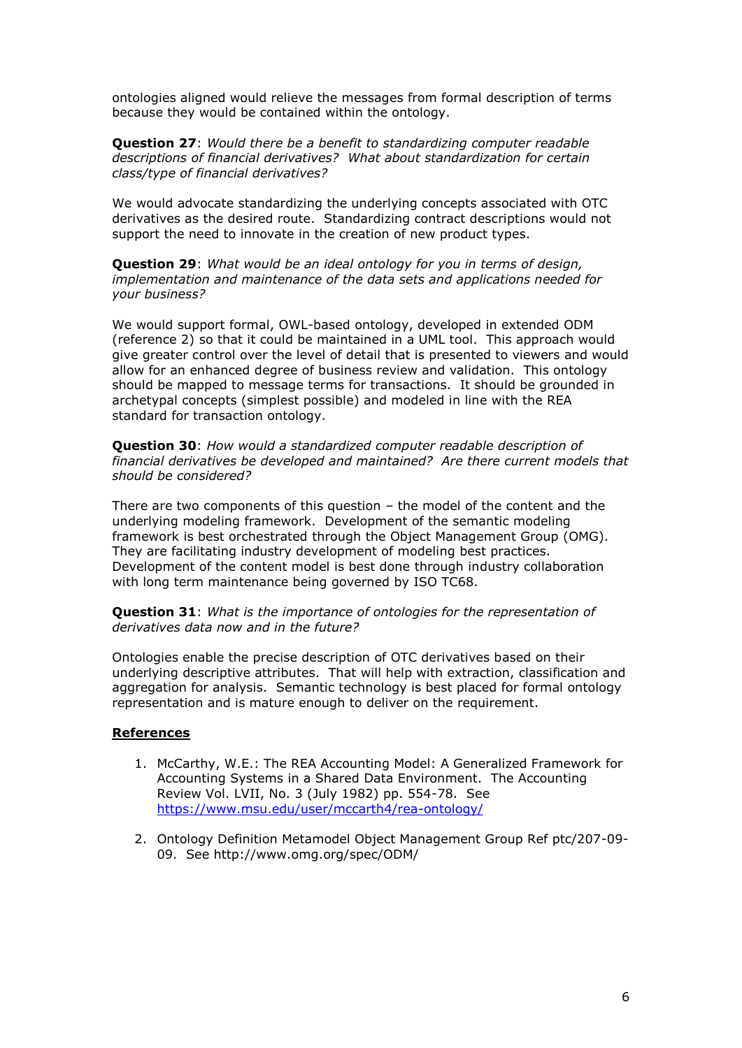ontologies aligned would relieve the messages from formal description of terms because they would be contained within the ontology.

**Question 27**: *Would there be a benefit to standardizing computer readable descriptions of financial derivatives? What about standardization for certain class/type of financial derivatives?*

We would advocate standardizing the underlying concepts associated with OTC derivatives as the desired route. Standardizing contract descriptions would not support the need to innovate in the creation of new product types.

**Question 29**: *What would be an ideal ontology for you in terms of design, implementation and maintenance of the data sets and applications needed for your business?*

We would support formal, OWL-based ontology, developed in extended ODM (reference 2) so that it could be maintained in a UML tool. This approach would give greater control over the level of detail that is presented to viewers and would allow for an enhanced degree of business review and validation. This ontology should be mapped to message terms for transactions. It should be grounded in archetypal concepts (simplest possible) and modeled in line with the REA standard for transaction ontology.

**Question 30**: *How would a standardized computer readable description of financial derivatives be developed and maintained? Are there current models that should be considered?*

There are two components of this question – the model of the content and the underlying modeling framework. Development of the semantic modeling framework is best orchestrated through the Object Management Group (OMG). They are facilitating industry development of modeling best practices. Development of the content model is best done through industry collaboration with long term maintenance being governed by ISO TC68.

**Question 31**: *What is the importance of ontologies for the representation of derivatives data now and in the future?*

Ontologies enable the precise description of OTC derivatives based on their underlying descriptive attributes. That will help with extraction, classification and aggregation for analysis. Semantic technology is best placed for formal ontology representation and is mature enough to deliver on the requirement.

#### **References**

- 1. McCarthy, W.E.: The REA Accounting Model: A Generalized Framework for Accounting Systems in a Shared Data Environment. The Accounting Review Vol. LVII, No. 3 (July 1982) pp. 554-78. See <https://www.msu.edu/user/mccarth4/rea-ontology/>
- 2. Ontology Definition Metamodel Object Management Group Ref ptc/207-09- 09. See http://www.omg.org/spec/ODM/